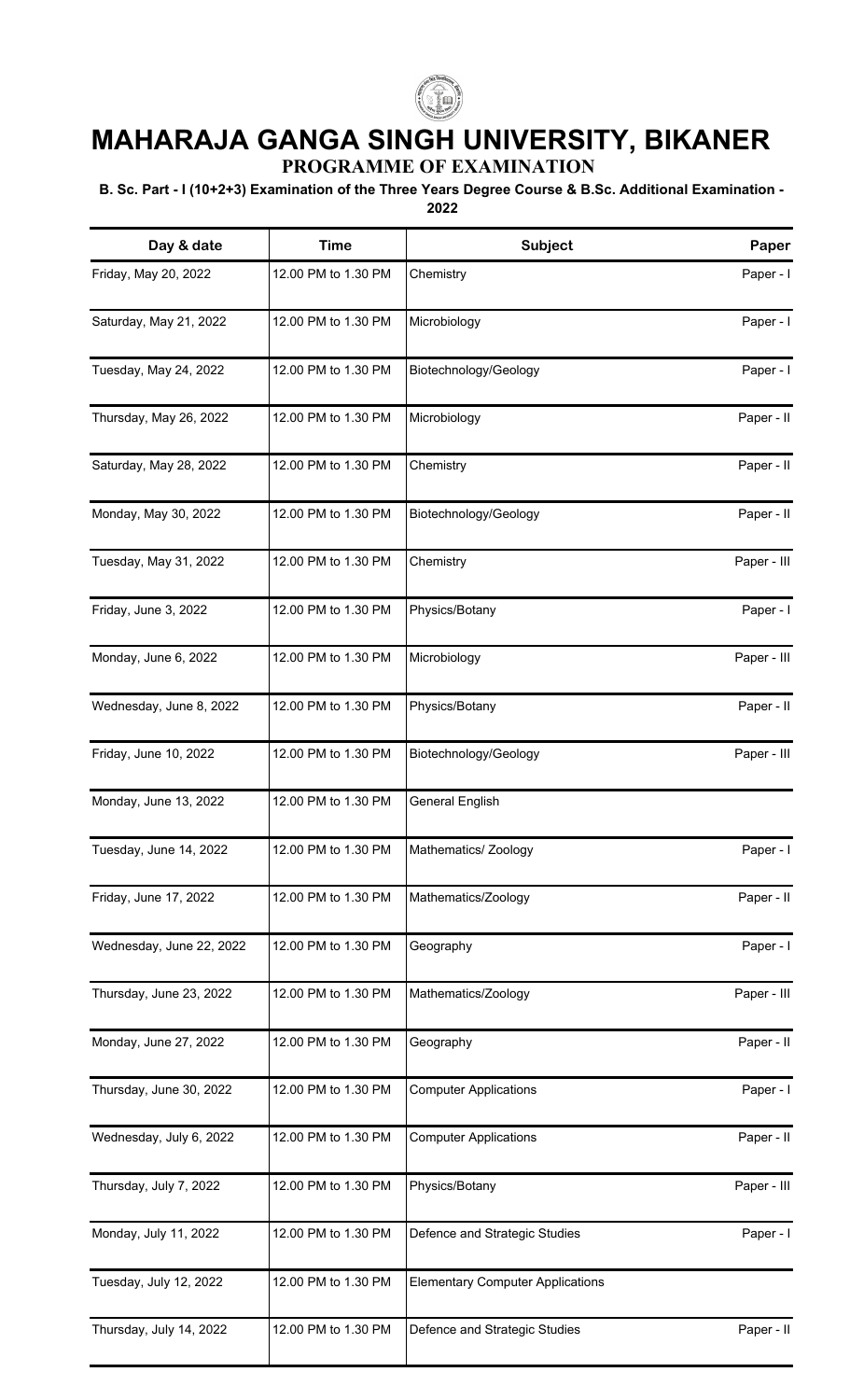

## **MAHARAJA GANGA SINGH UNIVERSITY, BIKANER**

**PROGRAMME OF EXAMINATION**

## **B. Sc. Part - I (10+2+3) Examination of the Three Years Degree Course & B.Sc. Additional Examination - 2022**

| Day & date               | <b>Time</b>         | Subject                                 | Paper       |
|--------------------------|---------------------|-----------------------------------------|-------------|
| Friday, May 20, 2022     | 12.00 PM to 1.30 PM | Chemistry                               | Paper - I   |
| Saturday, May 21, 2022   | 12.00 PM to 1.30 PM | Microbiology                            | Paper - I   |
| Tuesday, May 24, 2022    | 12.00 PM to 1.30 PM | Biotechnology/Geology                   | Paper - I   |
| Thursday, May 26, 2022   | 12.00 PM to 1.30 PM | Microbiology                            | Paper - II  |
| Saturday, May 28, 2022   | 12.00 PM to 1.30 PM | Chemistry                               | Paper - II  |
| Monday, May 30, 2022     | 12.00 PM to 1.30 PM | Biotechnology/Geology                   | Paper - II  |
| Tuesday, May 31, 2022    | 12.00 PM to 1.30 PM | Chemistry                               | Paper - III |
| Friday, June 3, 2022     | 12.00 PM to 1.30 PM | Physics/Botany                          | Paper - I   |
| Monday, June 6, 2022     | 12.00 PM to 1.30 PM | Microbiology                            | Paper - III |
| Wednesday, June 8, 2022  | 12.00 PM to 1.30 PM | Physics/Botany                          | Paper - II  |
| Friday, June 10, 2022    | 12.00 PM to 1.30 PM | Biotechnology/Geology                   | Paper - III |
| Monday, June 13, 2022    | 12.00 PM to 1.30 PM | <b>General English</b>                  |             |
| Tuesday, June 14, 2022   | 12.00 PM to 1.30 PM | Mathematics/ Zoology                    | Paper - I   |
| Friday, June 17, 2022    | 12.00 PM to 1.30 PM | Mathematics/Zoology                     | Paper - II  |
| Wednesday, June 22, 2022 | 12.00 PM to 1.30 PM | Geography                               | Paper - I   |
| Thursday, June 23, 2022  | 12.00 PM to 1.30 PM | Mathematics/Zoology                     | Paper - III |
| Monday, June 27, 2022    | 12.00 PM to 1.30 PM | Geography                               | Paper - II  |
| Thursday, June 30, 2022  | 12.00 PM to 1.30 PM | <b>Computer Applications</b>            | Paper - I   |
| Wednesday, July 6, 2022  | 12.00 PM to 1.30 PM | <b>Computer Applications</b>            | Paper - II  |
| Thursday, July 7, 2022   | 12.00 PM to 1.30 PM | Physics/Botany                          | Paper - III |
| Monday, July 11, 2022    | 12.00 PM to 1.30 PM | Defence and Strategic Studies           | Paper - I   |
| Tuesday, July 12, 2022   | 12.00 PM to 1.30 PM | <b>Elementary Computer Applications</b> |             |
| Thursday, July 14, 2022  | 12.00 PM to 1.30 PM | Defence and Strategic Studies           | Paper - II  |